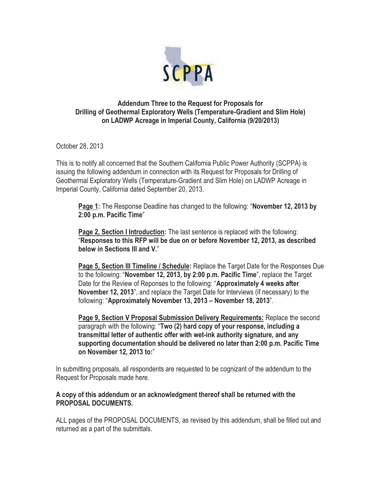

## **Addendum Three to the Request for Proposals for Drilling of Geothermal Exploratory Wells (Temperature-Gradient and Slim Hole) on LADWP Acreage in Imperial County, California (9/20/2013)**

October 28, 2013

This is to notify all concerned that the Southern California Public Power Authority (SCPPA) is issuing the following addendum in connection with its Request for Proposals for Drilling of Geothermal Exploratory Wells (Temperature-Gradient and Slim Hole) on LADWP Acreage in Imperial County, California dated September 20, 2013.

**Page 1:** The Response Deadline has changed to the following: "**November 12, 2013 by 2:00 p.m. Pacific Time**"

Page 2, Section I Introduction: The last sentence is replaced with the following: "**Responses to this RFP will be due on or before November 12, 2013, as described below in Sections III and V.**"

**Page 5, Section III Timeline / Schedule:** Replace the Target Date for the Responses Due to the following: "**November 12, 2013, by 2:00 p.m. Pacific Time**", replace the Target Date for the Review of Reponses to the following: "**Approximately 4 weeks after November 12, 2013**", and replace the Target Date for Interviews (if necessary) to the following: "**Approximately November 13, 2013 – November 18, 2013**".

**Page 9, Section V Proposal Submission Delivery Requirements:** Replace the second paragraph with the following: "**Two (2) hard copy of your response, including a transmittal letter of authentic offer with wet-ink authority signature, and any supporting documentation should be delivered no later than 2:00 p.m. Pacific Time on November 12, 2013 to:**"

In submitting proposals, all respondents are requested to be cognizant of the addendum to the Request for Proposals made here.

## **A copy of this addendum or an acknowledgment thereof shall be returned with the PROPOSAL DOCUMENTS.**

ALL pages of the PROPOSAL DOCUMENTS, as revised by this addendum, shall be filled out and returned as a part of the submittals.